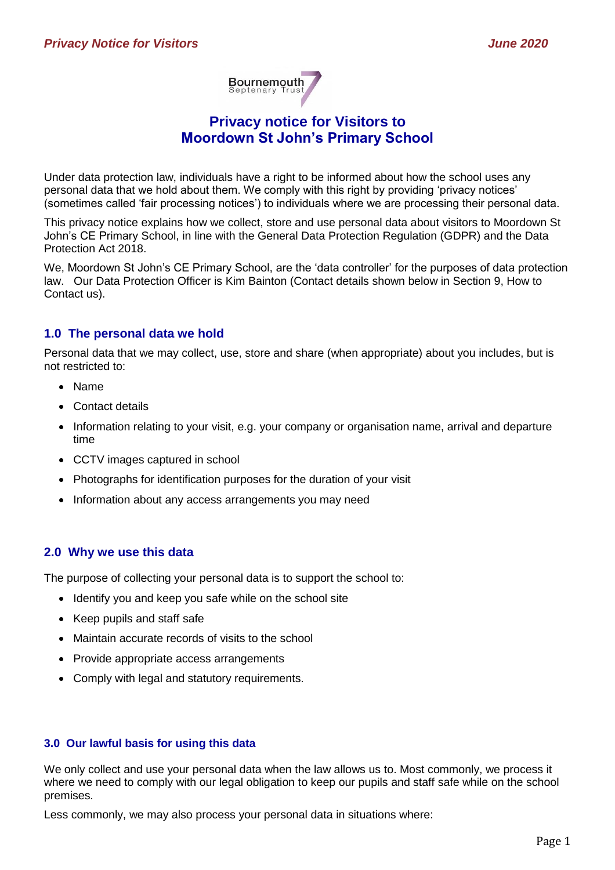

# **Privacy notice for Visitors to Moordown St John's Primary School**

Under data protection law, individuals have a right to be informed about how the school uses any personal data that we hold about them. We comply with this right by providing 'privacy notices' (sometimes called 'fair processing notices') to individuals where we are processing their personal data.

This privacy notice explains how we collect, store and use personal data about visitors to Moordown St John's CE Primary School, in line with the General Data Protection Regulation (GDPR) and the Data Protection Act 2018.

We, Moordown St John's CE Primary School, are the 'data controller' for the purposes of data protection law. Our Data Protection Officer is Kim Bainton (Contact details shown below in Section 9, How to Contact us).

### **1.0 The personal data we hold**

Personal data that we may collect, use, store and share (when appropriate) about you includes, but is not restricted to:

- Name
- Contact details
- Information relating to your visit, e.g. your company or organisation name, arrival and departure time
- CCTV images captured in school
- Photographs for identification purposes for the duration of your visit
- Information about any access arrangements you may need

## **2.0 Why we use this data**

The purpose of collecting your personal data is to support the school to:

- Identify you and keep you safe while on the school site
- Keep pupils and staff safe
- Maintain accurate records of visits to the school
- Provide appropriate access arrangements
- Comply with legal and statutory requirements.

#### **3.0 Our lawful basis for using this data**

We only collect and use your personal data when the law allows us to. Most commonly, we process it where we need to comply with our legal obligation to keep our pupils and staff safe while on the school premises.

Less commonly, we may also process your personal data in situations where: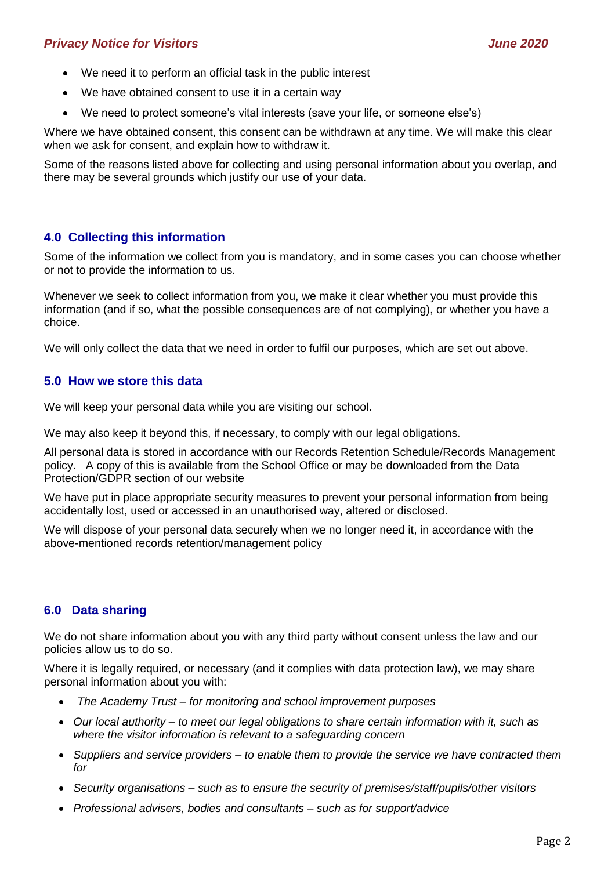## *Privacy Notice for Visitors June 2020*

- We need it to perform an official task in the public interest
- We have obtained consent to use it in a certain way
- We need to protect someone's vital interests (save your life, or someone else's)

Where we have obtained consent, this consent can be withdrawn at any time. We will make this clear when we ask for consent, and explain how to withdraw it.

Some of the reasons listed above for collecting and using personal information about you overlap, and there may be several grounds which justify our use of your data.

## **4.0 Collecting this information**

Some of the information we collect from you is mandatory, and in some cases you can choose whether or not to provide the information to us.

Whenever we seek to collect information from you, we make it clear whether you must provide this information (and if so, what the possible consequences are of not complying), or whether you have a choice.

We will only collect the data that we need in order to fulfil our purposes, which are set out above.

### **5.0 How we store this data**

We will keep your personal data while you are visiting our school.

We may also keep it beyond this, if necessary, to comply with our legal obligations.

All personal data is stored in accordance with our Records Retention Schedule/Records Management policy. A copy of this is available from the School Office or may be downloaded from the Data Protection/GDPR section of our website

We have put in place appropriate security measures to prevent your personal information from being accidentally lost, used or accessed in an unauthorised way, altered or disclosed.

We will dispose of your personal data securely when we no longer need it, in accordance with the above-mentioned records retention/management policy

## **6.0 Data sharing**

We do not share information about you with any third party without consent unless the law and our policies allow us to do so.

Where it is legally required, or necessary (and it complies with data protection law), we may share personal information about you with:

- *The Academy Trust – for monitoring and school improvement purposes*
- *Our local authority – to meet our legal obligations to share certain information with it, such as where the visitor information is relevant to a safeguarding concern*
- *Suppliers and service providers – to enable them to provide the service we have contracted them for*
- *Security organisations – such as to ensure the security of premises/staff/pupils/other visitors*
- *Professional advisers, bodies and consultants – such as for support/advice*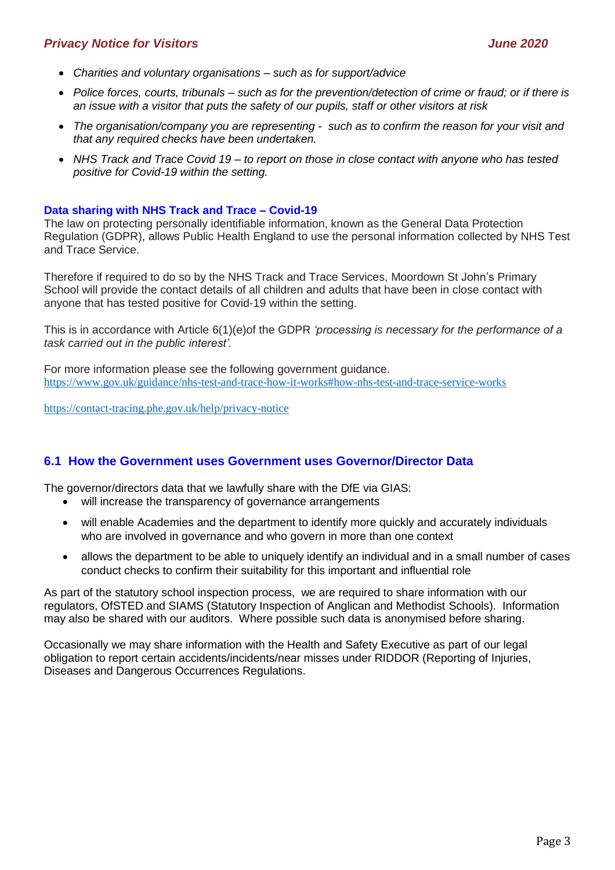### *Privacy Notice for Visitors June 2020*

- *Charities and voluntary organisations – such as for support/advice*
- *Police forces, courts, tribunals – such as for the prevention/detection of crime or fraud; or if there is an issue with a visitor that puts the safety of our pupils, staff or other visitors at risk*
- *The organisation/company you are representing such as to confirm the reason for your visit and that any required checks have been undertaken.*
- *NHS Track and Trace Covid 19 – to report on those in close contact with anyone who has tested positive for Covid-19 within the setting.*

#### **Data sharing with NHS Track and Trace – Covid-19**

The law on protecting personally identifiable information, known as the General Data Protection Regulation (GDPR), allows Public Health England to use the personal information collected by NHS Test and Trace Service.

Therefore if required to do so by the NHS Track and Trace Services, Moordown St John's Primary School will provide the contact details of all children and adults that have been in close contact with anyone that has tested positive for Covid-19 within the setting.

This is in accordance with Article 6(1)(e)of the GDPR *'processing is necessary for the performance of a task carried out in the public interest'.*

For more information please see the following government guidance. <https://www.gov.uk/guidance/nhs-test-and-trace-how-it-works#how-nhs-test-and-trace-service-works>

<https://contact-tracing.phe.gov.uk/help/privacy-notice>

### **6.1 How the Government uses Government uses Governor/Director Data**

The governor/directors data that we lawfully share with the DfE via GIAS:

- will increase the transparency of governance arrangements
- will enable Academies and the department to identify more quickly and accurately individuals who are involved in governance and who govern in more than one context
- allows the department to be able to uniquely identify an individual and in a small number of cases conduct checks to confirm their suitability for this important and influential role

As part of the statutory school inspection process, we are required to share information with our regulators, OfSTED and SIAMS (Statutory Inspection of Anglican and Methodist Schools). Information may also be shared with our auditors. Where possible such data is anonymised before sharing.

Occasionally we may share information with the Health and Safety Executive as part of our legal obligation to report certain accidents/incidents/near misses under RIDDOR (Reporting of Injuries, Diseases and Dangerous Occurrences Regulations.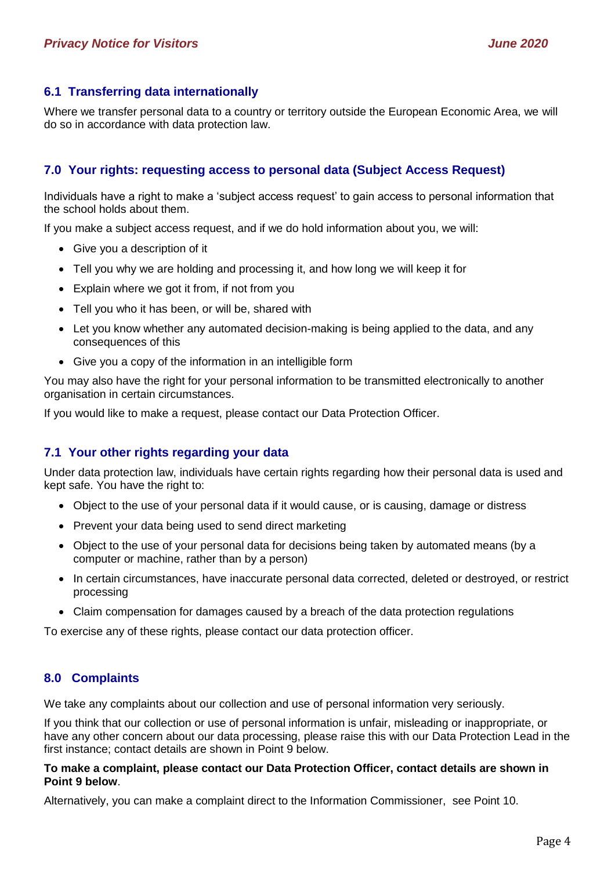### **6.1 Transferring data internationally**

Where we transfer personal data to a country or territory outside the European Economic Area, we will do so in accordance with data protection law.

## **7.0 Your rights: requesting access to personal data (Subject Access Request)**

Individuals have a right to make a 'subject access request' to gain access to personal information that the school holds about them.

If you make a subject access request, and if we do hold information about you, we will:

- Give you a description of it
- Tell you why we are holding and processing it, and how long we will keep it for
- Explain where we got it from, if not from you
- Tell you who it has been, or will be, shared with
- Let you know whether any automated decision-making is being applied to the data, and any consequences of this
- Give you a copy of the information in an intelligible form

You may also have the right for your personal information to be transmitted electronically to another organisation in certain circumstances.

If you would like to make a request, please contact our Data Protection Officer.

### **7.1 Your other rights regarding your data**

Under data protection law, individuals have certain rights regarding how their personal data is used and kept safe. You have the right to:

- Object to the use of your personal data if it would cause, or is causing, damage or distress
- Prevent your data being used to send direct marketing
- Object to the use of your personal data for decisions being taken by automated means (by a computer or machine, rather than by a person)
- In certain circumstances, have inaccurate personal data corrected, deleted or destroyed, or restrict processing
- Claim compensation for damages caused by a breach of the data protection regulations

To exercise any of these rights, please contact our data protection officer.

### **8.0 Complaints**

We take any complaints about our collection and use of personal information very seriously.

If you think that our collection or use of personal information is unfair, misleading or inappropriate, or have any other concern about our data processing, please raise this with our Data Protection Lead in the first instance; contact details are shown in Point 9 below.

#### **To make a complaint, please contact our Data Protection Officer, contact details are shown in Point 9 below**.

Alternatively, you can make a complaint direct to the Information Commissioner, see Point 10.